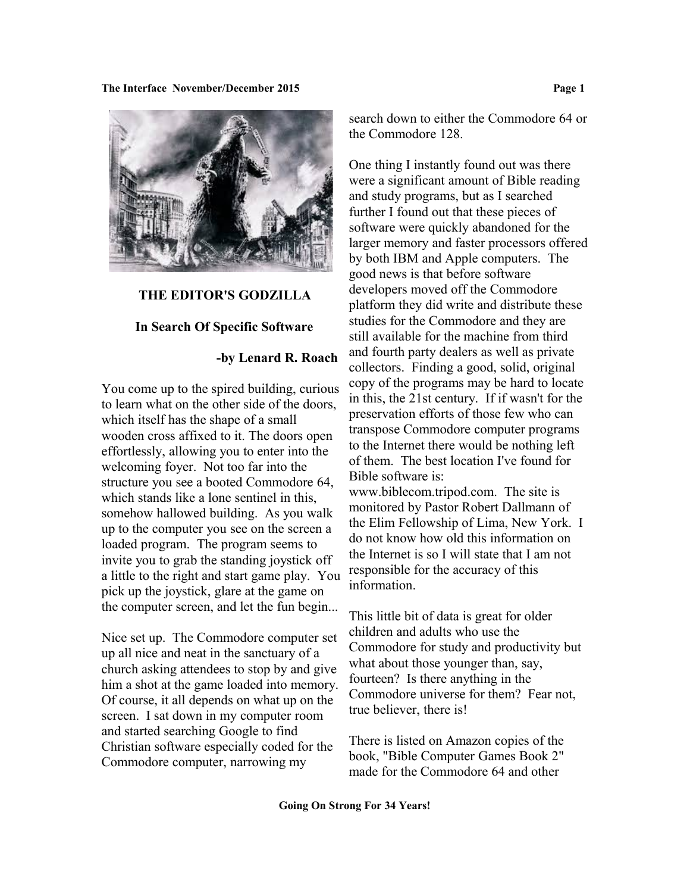

### **THE EDITOR'S GODZILLA**

### **In Search Of Specific Software**

## **-by Lenard R. Roach**

You come up to the spired building, curious to learn what on the other side of the doors, which itself has the shape of a small wooden cross affixed to it. The doors open effortlessly, allowing you to enter into the welcoming foyer. Not too far into the structure you see a booted Commodore 64, which stands like a lone sentinel in this, somehow hallowed building. As you walk up to the computer you see on the screen a loaded program. The program seems to invite you to grab the standing joystick off a little to the right and start game play. You pick up the joystick, glare at the game on the computer screen, and let the fun begin...

Nice set up. The Commodore computer set up all nice and neat in the sanctuary of a church asking attendees to stop by and give him a shot at the game loaded into memory. Of course, it all depends on what up on the screen. I sat down in my computer room and started searching Google to find Christian software especially coded for the Commodore computer, narrowing my

search down to either the Commodore 64 or the Commodore 128.

One thing I instantly found out was there were a significant amount of Bible reading and study programs, but as I searched further I found out that these pieces of software were quickly abandoned for the larger memory and faster processors offered by both IBM and Apple computers. The good news is that before software developers moved off the Commodore platform they did write and distribute these studies for the Commodore and they are still available for the machine from third and fourth party dealers as well as private collectors. Finding a good, solid, original copy of the programs may be hard to locate in this, the 21st century. If if wasn't for the preservation efforts of those few who can transpose Commodore computer programs to the Internet there would be nothing left of them. The best location I've found for Bible software is:

www.biblecom.tripod.com. The site is monitored by Pastor Robert Dallmann of the Elim Fellowship of Lima, New York. I do not know how old this information on the Internet is so I will state that I am not responsible for the accuracy of this information.

This little bit of data is great for older children and adults who use the Commodore for study and productivity but what about those younger than, say, fourteen? Is there anything in the Commodore universe for them? Fear not, true believer, there is!

There is listed on Amazon copies of the book, "Bible Computer Games Book 2" made for the Commodore 64 and other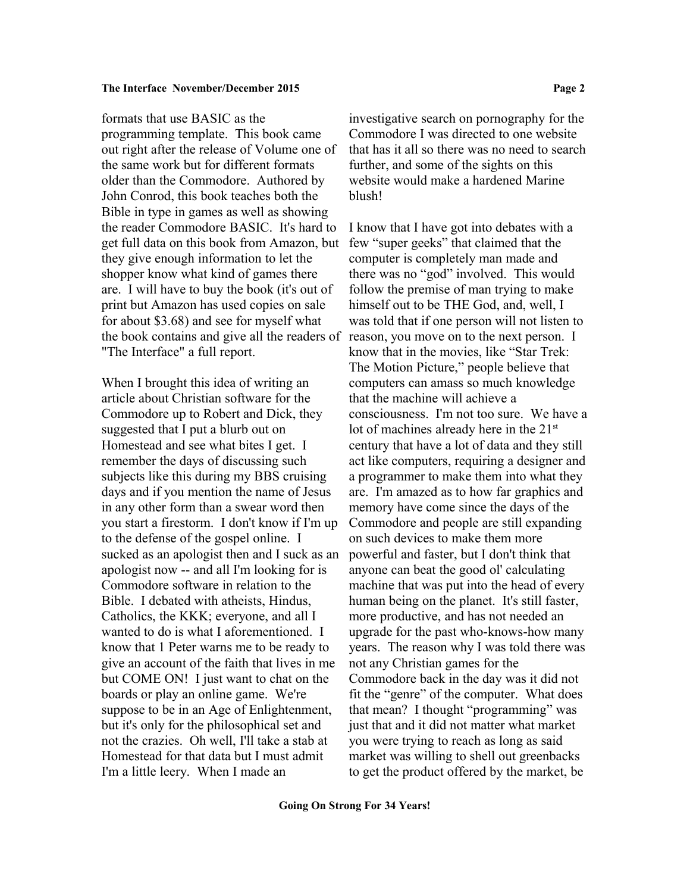formats that use BASIC as the programming template. This book came out right after the release of Volume one of the same work but for different formats older than the Commodore. Authored by John Conrod, this book teaches both the Bible in type in games as well as showing the reader Commodore BASIC. It's hard to get full data on this book from Amazon, but they give enough information to let the shopper know what kind of games there are. I will have to buy the book (it's out of print but Amazon has used copies on sale for about \$3.68) and see for myself what the book contains and give all the readers of reason, you move on to the next person. I "The Interface" a full report.

When I brought this idea of writing an article about Christian software for the Commodore up to Robert and Dick, they suggested that I put a blurb out on Homestead and see what bites I get. I remember the days of discussing such subjects like this during my BBS cruising days and if you mention the name of Jesus in any other form than a swear word then you start a firestorm. I don't know if I'm up to the defense of the gospel online. I sucked as an apologist then and I suck as an apologist now -- and all I'm looking for is Commodore software in relation to the Bible. I debated with atheists, Hindus, Catholics, the KKK; everyone, and all I wanted to do is what I aforementioned. I know that 1 Peter warns me to be ready to give an account of the faith that lives in me but COME ON! I just want to chat on the boards or play an online game. We're suppose to be in an Age of Enlightenment, but it's only for the philosophical set and not the crazies. Oh well, I'll take a stab at Homestead for that data but I must admit I'm a little leery. When I made an

investigative search on pornography for the Commodore I was directed to one website that has it all so there was no need to search further, and some of the sights on this website would make a hardened Marine blush!

I know that I have got into debates with a few "super geeks" that claimed that the computer is completely man made and there was no "god" involved. This would follow the premise of man trying to make himself out to be THE God, and, well, I was told that if one person will not listen to know that in the movies, like "Star Trek: The Motion Picture," people believe that computers can amass so much knowledge that the machine will achieve a consciousness. I'm not too sure. We have a lot of machines already here in the 21<sup>st</sup> century that have a lot of data and they still act like computers, requiring a designer and a programmer to make them into what they are. I'm amazed as to how far graphics and memory have come since the days of the Commodore and people are still expanding on such devices to make them more powerful and faster, but I don't think that anyone can beat the good ol' calculating machine that was put into the head of every human being on the planet. It's still faster, more productive, and has not needed an upgrade for the past who-knows-how many years. The reason why I was told there was not any Christian games for the Commodore back in the day was it did not fit the "genre" of the computer. What does that mean? I thought "programming" was just that and it did not matter what market you were trying to reach as long as said market was willing to shell out greenbacks to get the product offered by the market, be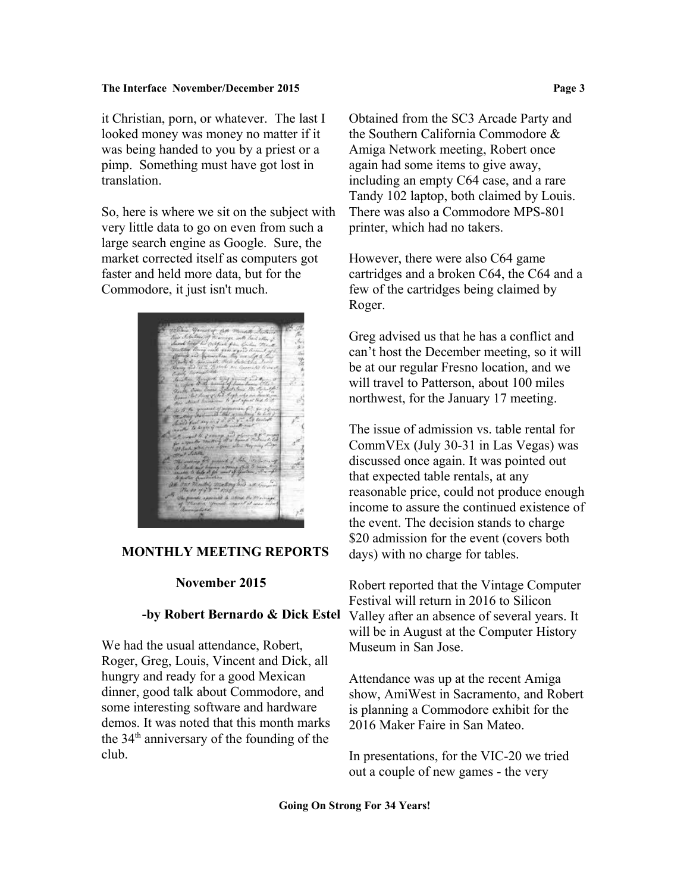it Christian, porn, or whatever. The last I looked money was money no matter if it was being handed to you by a priest or a pimp. Something must have got lost in translation.

So, here is where we sit on the subject with very little data to go on even from such a large search engine as Google. Sure, the market corrected itself as computers got faster and held more data, but for the Commodore, it just isn't much.



## **MONTHLY MEETING REPORTS**

### **November 2015**

### **-by Robert Bernardo & Dick Estel**

We had the usual attendance, Robert, Roger, Greg, Louis, Vincent and Dick, all hungry and ready for a good Mexican dinner, good talk about Commodore, and some interesting software and hardware demos. It was noted that this month marks the 34<sup>th</sup> anniversary of the founding of the club.

Obtained from the SC3 Arcade Party and the Southern California Commodore & Amiga Network meeting, Robert once again had some items to give away, including an empty C64 case, and a rare Tandy 102 laptop, both claimed by Louis. There was also a Commodore MPS-801 printer, which had no takers.

However, there were also C64 game cartridges and a broken C64, the C64 and a few of the cartridges being claimed by Roger.

Greg advised us that he has a conflict and can't host the December meeting, so it will be at our regular Fresno location, and we will travel to Patterson, about 100 miles northwest, for the January 17 meeting.

The issue of admission vs. table rental for CommVEx (July 30-31 in Las Vegas) was discussed once again. It was pointed out that expected table rentals, at any reasonable price, could not produce enough income to assure the continued existence of the event. The decision stands to charge \$20 admission for the event (covers both days) with no charge for tables.

Robert reported that the Vintage Computer Festival will return in 2016 to Silicon Valley after an absence of several years. It will be in August at the Computer History Museum in San Jose.

Attendance was up at the recent Amiga show, AmiWest in Sacramento, and Robert is planning a Commodore exhibit for the 2016 Maker Faire in San Mateo.

In presentations, for the VIC-20 we tried out a couple of new games - the very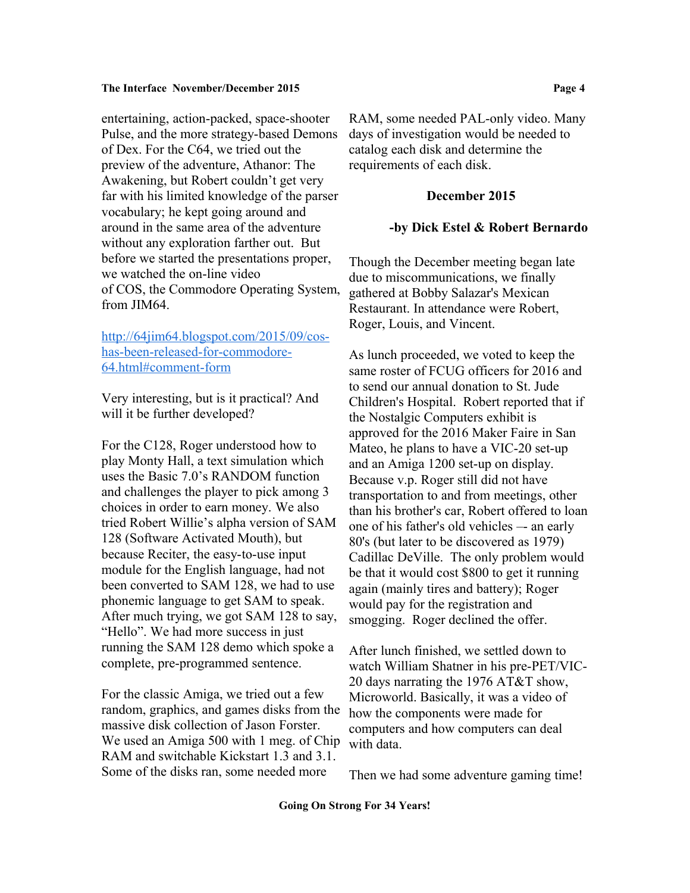entertaining, action-packed, space-shooter Pulse, and the more strategy-based Demons of Dex. For the C64, we tried out the preview of the adventure, Athanor: The Awakening, but Robert couldn't get very far with his limited knowledge of the parser vocabulary; he kept going around and around in the same area of the adventure without any exploration farther out. But before we started the presentations proper, we watched the on-line video of COS, the Commodore Operating System, from JIM64.

[http://64jim64.blogspot.com/2015/09/cos](http://64jim64.blogspot.com/2015/09/cos-has-been-released-for-commodore-64.html#comment-form)[has-been-released-for-commodore-](http://64jim64.blogspot.com/2015/09/cos-has-been-released-for-commodore-64.html#comment-form)[64.html#comment-form](http://64jim64.blogspot.com/2015/09/cos-has-been-released-for-commodore-64.html#comment-form)

Very interesting, but is it practical? And will it be further developed?

For the C128, Roger understood how to play Monty Hall, a text simulation which uses the Basic 7.0's RANDOM function and challenges the player to pick among 3 choices in order to earn money. We also tried Robert Willie's alpha version of SAM 128 (Software Activated Mouth), but because Reciter, the easy-to-use input module for the English language, had not been converted to SAM 128, we had to use phonemic language to get SAM to speak. After much trying, we got SAM 128 to say, "Hello". We had more success in just running the SAM 128 demo which spoke a complete, pre-programmed sentence.

For the classic Amiga, we tried out a few random, graphics, and games disks from the massive disk collection of Jason Forster. We used an Amiga 500 with 1 meg. of Chip RAM and switchable Kickstart 1.3 and 3.1. Some of the disks ran, some needed more

RAM, some needed PAL-only video. Many days of investigation would be needed to catalog each disk and determine the requirements of each disk.

### **December 2015**

### **-by Dick Estel & Robert Bernardo**

Though the December meeting began late due to miscommunications, we finally gathered at Bobby Salazar's Mexican Restaurant. In attendance were Robert, Roger, Louis, and Vincent.

As lunch proceeded, we voted to keep the same roster of FCUG officers for 2016 and to send our annual donation to St. Jude Children's Hospital. Robert reported that if the Nostalgic Computers exhibit is approved for the 2016 Maker Faire in San Mateo, he plans to have a VIC-20 set-up and an Amiga 1200 set-up on display. Because v.p. Roger still did not have transportation to and from meetings, other than his brother's car, Robert offered to loan one of his father's old vehicles –- an early 80's (but later to be discovered as 1979) Cadillac DeVille. The only problem would be that it would cost \$800 to get it running again (mainly tires and battery); Roger would pay for the registration and smogging. Roger declined the offer.

After lunch finished, we settled down to watch William Shatner in his pre-PET/VIC-20 days narrating the 1976 AT&T show, Microworld. Basically, it was a video of how the components were made for computers and how computers can deal with data.

Then we had some adventure gaming time!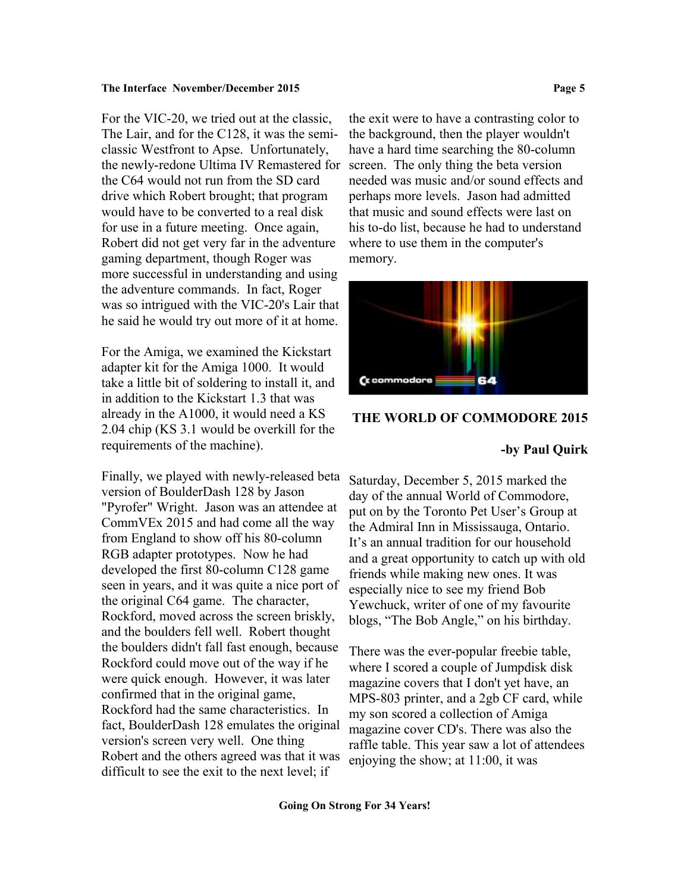For the VIC-20, we tried out at the classic, The Lair, and for the C128, it was the semiclassic Westfront to Apse. Unfortunately, the newly-redone Ultima IV Remastered for the C64 would not run from the SD card drive which Robert brought; that program would have to be converted to a real disk for use in a future meeting. Once again, Robert did not get very far in the adventure gaming department, though Roger was more successful in understanding and using the adventure commands. In fact, Roger was so intrigued with the VIC-20's Lair that he said he would try out more of it at home.

For the Amiga, we examined the Kickstart adapter kit for the Amiga 1000. It would take a little bit of soldering to install it, and in addition to the Kickstart 1.3 that was already in the A1000, it would need a KS 2.04 chip (KS 3.1 would be overkill for the requirements of the machine).

Finally, we played with newly-released beta version of BoulderDash 128 by Jason "Pyrofer" Wright. Jason was an attendee at CommVEx 2015 and had come all the way from England to show off his 80-column RGB adapter prototypes. Now he had developed the first 80-column C128 game seen in years, and it was quite a nice port of the original C64 game. The character, Rockford, moved across the screen briskly, and the boulders fell well. Robert thought the boulders didn't fall fast enough, because Rockford could move out of the way if he were quick enough. However, it was later confirmed that in the original game, Rockford had the same characteristics. In fact, BoulderDash 128 emulates the original version's screen very well. One thing Robert and the others agreed was that it was difficult to see the exit to the next level; if

the exit were to have a contrasting color to the background, then the player wouldn't have a hard time searching the 80-column screen. The only thing the beta version needed was music and/or sound effects and perhaps more levels. Jason had admitted that music and sound effects were last on his to-do list, because he had to understand where to use them in the computer's memory.



## **THE WORLD OF COMMODORE 2015**

### **-by Paul Quirk**

Saturday, December 5, 2015 marked the day of the annual World of Commodore, put on by the Toronto Pet User's Group at the Admiral Inn in Mississauga, Ontario. It's an annual tradition for our household and a great opportunity to catch up with old friends while making new ones. It was especially nice to see my friend Bob Yewchuck, writer of one of my favourite blogs, "The Bob Angle," on his birthday.

There was the ever-popular freebie table, where I scored a couple of Jumpdisk disk magazine covers that I don't yet have, an MPS-803 printer, and a 2gb CF card, while my son scored a collection of Amiga magazine cover CD's. There was also the raffle table. This year saw a lot of attendees enjoying the show; at 11:00, it was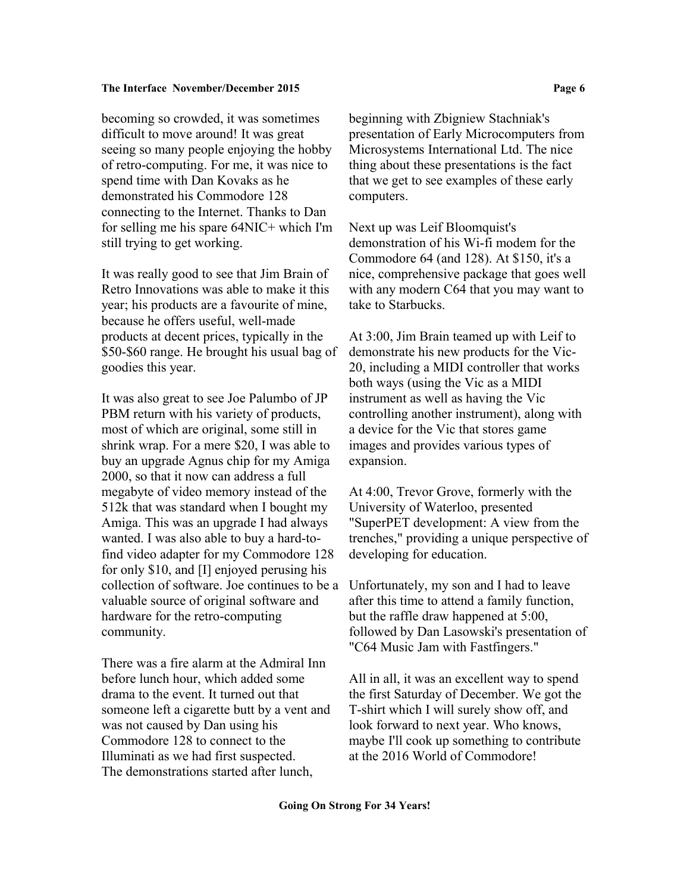becoming so crowded, it was sometimes difficult to move around! It was great seeing so many people enjoying the hobby of retro-computing. For me, it was nice to spend time with Dan Kovaks as he demonstrated his Commodore 128 connecting to the Internet. Thanks to Dan for selling me his spare 64NIC+ which I'm still trying to get working.

It was really good to see that Jim Brain of Retro Innovations was able to make it this year; his products are a favourite of mine, because he offers useful, well-made products at decent prices, typically in the \$50-\$60 range. He brought his usual bag of goodies this year.

It was also great to see Joe Palumbo of JP PBM return with his variety of products, most of which are original, some still in shrink wrap. For a mere \$20, I was able to buy an upgrade Agnus chip for my Amiga 2000, so that it now can address a full megabyte of video memory instead of the 512k that was standard when I bought my Amiga. This was an upgrade I had always wanted. I was also able to buy a hard-tofind video adapter for my Commodore 128 for only \$10, and [I] enjoyed perusing his collection of software. Joe continues to be a valuable source of original software and hardware for the retro-computing community.

There was a fire alarm at the Admiral Inn before lunch hour, which added some drama to the event. It turned out that someone left a cigarette butt by a vent and was not caused by Dan using his Commodore 128 to connect to the Illuminati as we had first suspected. The demonstrations started after lunch,

beginning with Zbigniew Stachniak's presentation of Early Microcomputers from Microsystems International Ltd. The nice thing about these presentations is the fact that we get to see examples of these early computers.

Next up was Leif Bloomquist's demonstration of his Wi-fi modem for the Commodore 64 (and 128). At \$150, it's a nice, comprehensive package that goes well with any modern C64 that you may want to take to Starbucks.

At 3:00, Jim Brain teamed up with Leif to demonstrate his new products for the Vic-20, including a MIDI controller that works both ways (using the Vic as a MIDI instrument as well as having the Vic controlling another instrument), along with a device for the Vic that stores game images and provides various types of expansion.

At 4:00, Trevor Grove, formerly with the University of Waterloo, presented "SuperPET development: A view from the trenches," providing a unique perspective of developing for education.

Unfortunately, my son and I had to leave after this time to attend a family function, but the raffle draw happened at 5:00, followed by Dan Lasowski's presentation of "C64 Music Jam with Fastfingers."

All in all, it was an excellent way to spend the first Saturday of December. We got the T-shirt which I will surely show off, and look forward to next year. Who knows, maybe I'll cook up something to contribute at the 2016 World of Commodore!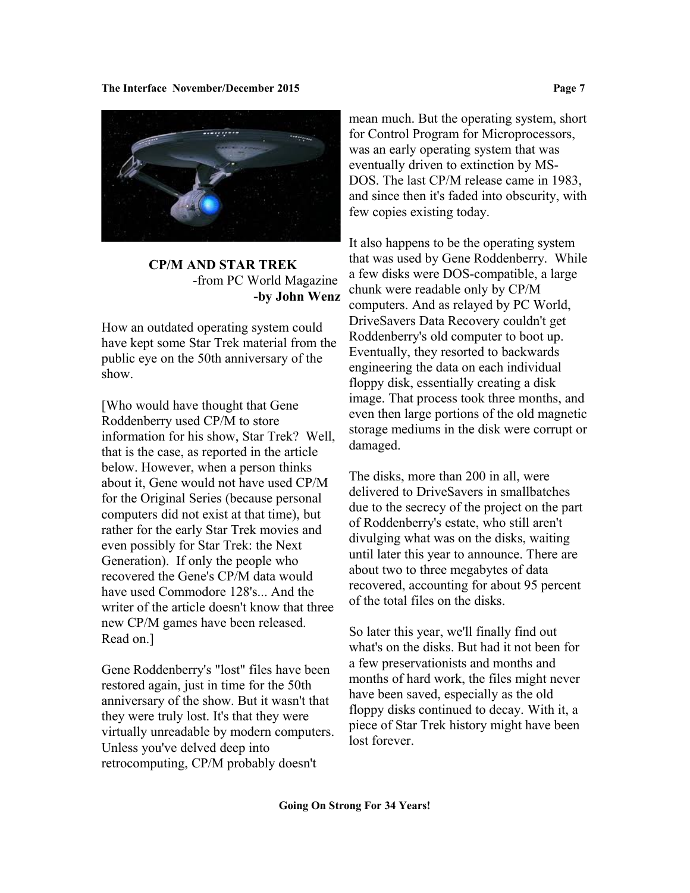

 **CP/M AND STAR TREK** -from PC World Magazine **-by John Wenz**

How an outdated operating system could have kept some Star Trek material from the public eye on the 50th anniversary of the show.

[Who would have thought that Gene Roddenberry used CP/M to store information for his show, Star Trek? Well, that is the case, as reported in the article below. However, when a person thinks about it, Gene would not have used CP/M for the Original Series (because personal computers did not exist at that time), but rather for the early Star Trek movies and even possibly for Star Trek: the Next Generation). If only the people who recovered the Gene's CP/M data would have used Commodore 128's... And the writer of the article doesn't know that three new CP/M games have been released. Read on.]

Gene Roddenberry's "lost" files have been restored again, just in time for the 50th anniversary of the show. But it wasn't that they were truly lost. It's that they were virtually unreadable by modern computers. Unless you've delved deep into retrocomputing, CP/M probably doesn't

mean much. But the operating system, short for Control Program for Microprocessors, was an early operating system that was eventually driven to extinction by MS-DOS. The last CP/M release came in 1983, and since then it's faded into obscurity, with few copies existing today.

It also happens to be the operating system that was used by Gene Roddenberry. While a few disks were DOS-compatible, a large chunk were readable only by CP/M computers. And as relayed by PC World, DriveSavers Data Recovery couldn't get Roddenberry's old computer to boot up. Eventually, they resorted to backwards engineering the data on each individual floppy disk, essentially creating a disk image. That process took three months, and even then large portions of the old magnetic storage mediums in the disk were corrupt or damaged.

The disks, more than 200 in all, were delivered to DriveSavers in smallbatches due to the secrecy of the project on the part of Roddenberry's estate, who still aren't divulging what was on the disks, waiting until later this year to announce. There are about two to three megabytes of data recovered, accounting for about 95 percent of the total files on the disks.

So later this year, we'll finally find out what's on the disks. But had it not been for a few preservationists and months and months of hard work, the files might never have been saved, especially as the old floppy disks continued to decay. With it, a piece of Star Trek history might have been lost forever.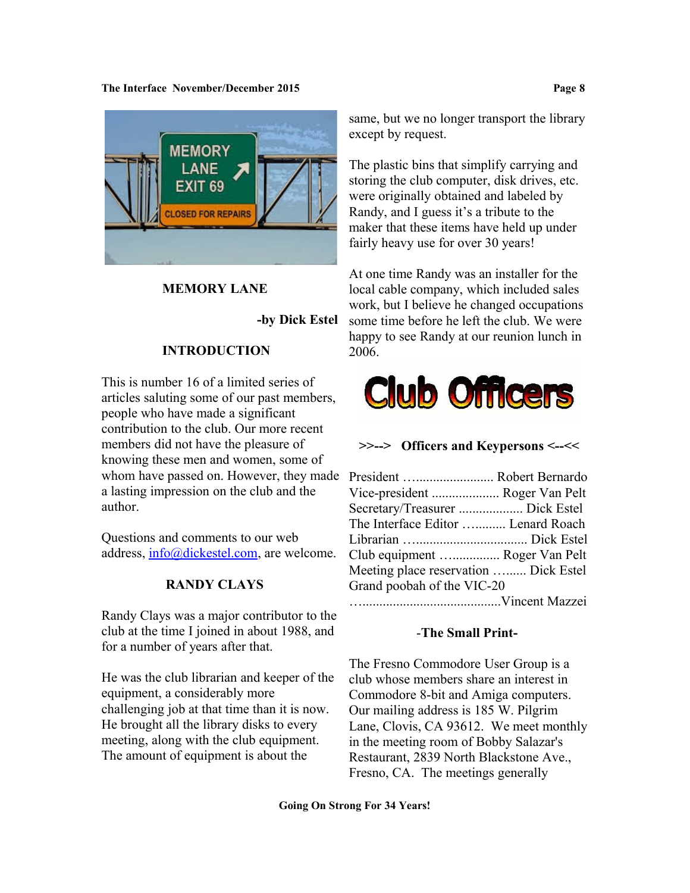

# **MEMORY LANE**

 **-by Dick Estel**

# **INTRODUCTION**

This is number 16 of a limited series of articles saluting some of our past members, people who have made a significant contribution to the club. Our more recent members did not have the pleasure of knowing these men and women, some of whom have passed on. However, they made a lasting impression on the club and the author.

Questions and comments to our web address, [info@dickestel.com,](mailto:info@dickestel.com) are welcome.

# **RANDY CLAYS**

Randy Clays was a major contributor to the club at the time I joined in about 1988, and for a number of years after that.

He was the club librarian and keeper of the equipment, a considerably more challenging job at that time than it is now. He brought all the library disks to every meeting, along with the club equipment. The amount of equipment is about the

same, but we no longer transport the library except by request.

The plastic bins that simplify carrying and storing the club computer, disk drives, etc. were originally obtained and labeled by Randy, and I guess it's a tribute to the maker that these items have held up under fairly heavy use for over 30 years!

At one time Randy was an installer for the local cable company, which included sales work, but I believe he changed occupations some time before he left the club. We were happy to see Randy at our reunion lunch in 2006.



## **>>--> Officers and Keypersons <--<<**

| President  Robert Bernardo            |  |
|---------------------------------------|--|
| Vice-president  Roger Van Pelt        |  |
| Secretary/Treasurer  Dick Estel       |  |
| The Interface Editor  Lenard Roach    |  |
|                                       |  |
| Club equipment  Roger Van Pelt        |  |
| Meeting place reservation  Dick Estel |  |
| Grand poobah of the VIC-20            |  |
|                                       |  |
|                                       |  |

# -**The Small Print-**

The Fresno Commodore User Group is a club whose members share an interest in Commodore 8-bit and Amiga computers. Our mailing address is 185 W. Pilgrim Lane, Clovis, CA 93612. We meet monthly in the meeting room of Bobby Salazar's Restaurant, 2839 North Blackstone Ave., Fresno, CA. The meetings generally